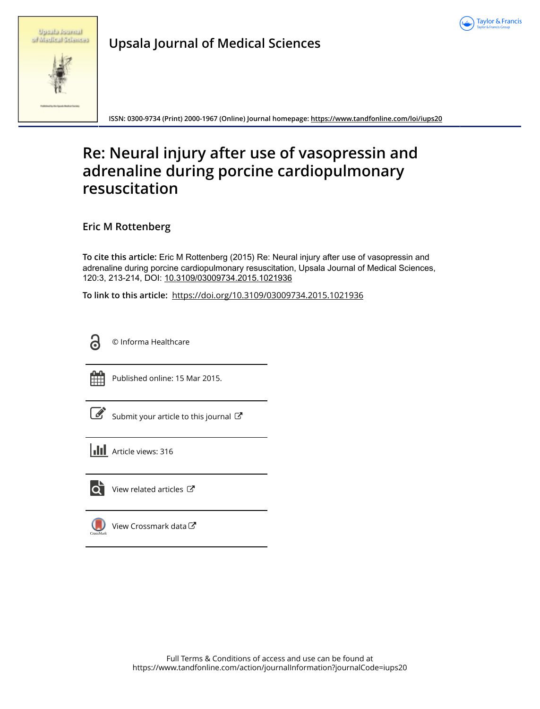

|  | Upmihi Ruurinil     |
|--|---------------------|
|  | of Madical Sciences |

**Upsala Journal of Medical Sciences**

**ISSN: 0300-9734 (Print) 2000-1967 (Online) Journal homepage:<https://www.tandfonline.com/loi/iups20>**

# **Re: Neural injury after use of vasopressin and adrenaline during porcine cardiopulmonary resuscitation**

**Eric M Rottenberg**

**To cite this article:** Eric M Rottenberg (2015) Re: Neural injury after use of vasopressin and adrenaline during porcine cardiopulmonary resuscitation, Upsala Journal of Medical Sciences, 120:3, 213-214, DOI: [10.3109/03009734.2015.1021936](https://www.tandfonline.com/action/showCitFormats?doi=10.3109/03009734.2015.1021936)

**To link to this article:** <https://doi.org/10.3109/03009734.2015.1021936>



© Informa Healthcare



Published online: 15 Mar 2015.

| ł |
|---|

[Submit your article to this journal](https://www.tandfonline.com/action/authorSubmission?journalCode=iups20&show=instructions)  $\mathbb{Z}$ 

**III** Article views: 316



 $\bullet$  [View related articles](https://www.tandfonline.com/doi/mlt/10.3109/03009734.2015.1021936)  $\sigma$ 



[View Crossmark data](http://crossmark.crossref.org/dialog/?doi=10.3109/03009734.2015.1021936&domain=pdf&date_stamp=2015-03-15) $\mathbb{Z}$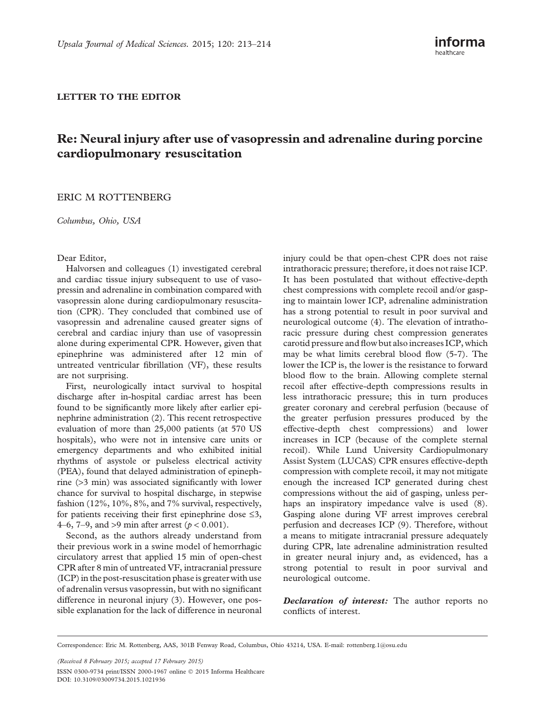### LETTER TO THE EDITOR

# Re: Neural injury after use of vasopressin and adrenaline during porcine cardiopulmonary resuscitation

## ERIC M ROTTENBERG

Columbus, Ohio, USA

#### Dear Editor,

Halvorsen and colleagues ([1\)](#page-2-0) investigated cerebral and cardiac tissue injury subsequent to use of vasopressin and adrenaline in combination compared with vasopressin alone during cardiopulmonary resuscitation (CPR). They concluded that combined use of vasopressin and adrenaline caused greater signs of cerebral and cardiac injury than use of vasopressin alone during experimental CPR. However, given that epinephrine was administered after 12 min of untreated ventricular fibrillation (VF), these results are not surprising.

First, neurologically intact survival to hospital discharge after in-hospital cardiac arrest has been found to be significantly more likely after earlier epinephrine administration ([2](#page-2-0)). This recent retrospective evaluation of more than 25,000 patients (at 570 US hospitals), who were not in intensive care units or emergency departments and who exhibited initial rhythms of asystole or pulseless electrical activity (PEA), found that delayed administration of epinephrine (>3 min) was associated significantly with lower chance for survival to hospital discharge, in stepwise fashion (12%, 10%, 8%, and 7% survival, respectively, for patients receiving their first epinephrine dose  $\leq 3$ , 4–6, 7–9, and >9 min after arrest ( $p < 0.001$ ).

Second, as the authors already understand from their previous work in a swine model of hemorrhagic circulatory arrest that applied 15 min of open-chest CPR after 8 min of untreated VF, intracranial pressure (ICP) in the post-resuscitation phase is greater with use of adrenalin versus vasopressin, but with no significant difference in neuronal injury ([3](#page-2-0)). However, one possible explanation for the lack of difference in neuronal injury could be that open-chest CPR does not raise intrathoracic pressure; therefore, it does not raise ICP. It has been postulated that without effective-depth chest compressions with complete recoil and/or gasping to maintain lower ICP, adrenaline administration has a strong potential to result in poor survival and neurological outcome ([4](#page-2-0)). The elevation of intrathoracic pressure during chest compression generates carotid pressure and flow but also increases ICP, which may be what limits cerebral blood flow [\(5-7\)](#page-2-0). The lower the ICP is, the lower is the resistance to forward blood flow to the brain. Allowing complete sternal recoil after effective-depth compressions results in less intrathoracic pressure; this in turn produces greater coronary and cerebral perfusion (because of the greater perfusion pressures produced by the effective-depth chest compressions) and lower increases in ICP (because of the complete sternal recoil). While Lund University Cardiopulmonary Assist System (LUCAS) CPR ensures effective-depth compression with complete recoil, it may not mitigate enough the increased ICP generated during chest compressions without the aid of gasping, unless perhaps an inspiratory impedance valve is used ([8\)](#page-2-0). Gasping alone during VF arrest improves cerebral perfusion and decreases ICP [\(9\)](#page-2-0). Therefore, without a means to mitigate intracranial pressure adequately during CPR, late adrenaline administration resulted in greater neural injury and, as evidenced, has a strong potential to result in poor survival and neurological outcome.

Declaration of interest: The author reports no conflicts of interest.

Correspondence: Eric M. Rottenberg, AAS, 301B Fenway Road, Columbus, Ohio 43214, USA. E-mail: [rottenberg.1@osu.edu](mailto:rottenberg.1@osu.edu)